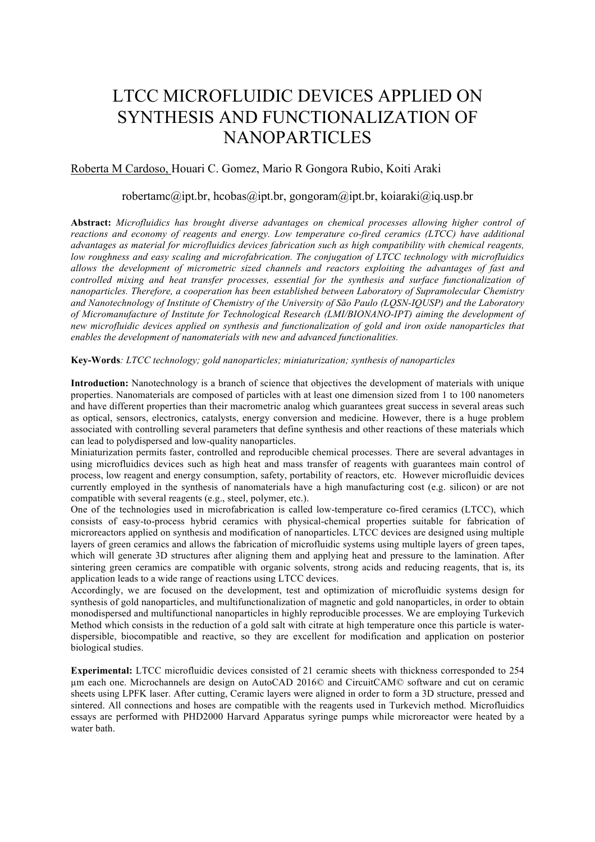# LTCC MICROFLUIDIC DEVICES APPLIED ON SYNTHESIS AND FUNCTIONALIZATION OF NANOPARTICLES

## Roberta M Cardoso, Houari C. Gomez, Mario R Gongora Rubio, Koiti Araki

## robertamc@ipt.br, hcobas@ipt.br, gongoram@ipt.br, koiaraki@iq.usp.br

**Abstract:** *Microfluidics has brought diverse advantages on chemical processes allowing higher control of reactions and economy of reagents and energy. Low temperature co-fired ceramics (LTCC) have additional advantages as material for microfluidics devices fabrication such as high compatibility with chemical reagents, low roughness and easy scaling and microfabrication. The conjugation of LTCC technology with microfluidics allows the development of micrometric sized channels and reactors exploiting the advantages of fast and controlled mixing and heat transfer processes, essential for the synthesis and surface functionalization of nanoparticles. Therefore, a cooperation has been established between Laboratory of Supramolecular Chemistry and Nanotechnology of Institute of Chemistry of the University of São Paulo (LQSN-IQUSP) and the Laboratory of Micromanufacture of Institute for Technological Research (LMI/BIONANO-IPT) aiming the development of new microfluidic devices applied on synthesis and functionalization of gold and iron oxide nanoparticles that enables the development of nanomaterials with new and advanced functionalities.*

#### **Key-Words***: LTCC technology; gold nanoparticles; miniaturization; synthesis of nanoparticles*

**Introduction:** Nanotechnology is a branch of science that objectives the development of materials with unique properties. Nanomaterials are composed of particles with at least one dimension sized from 1 to 100 nanometers and have different properties than their macrometric analog which guarantees great success in several areas such as optical, sensors, electronics, catalysts, energy conversion and medicine. However, there is a huge problem associated with controlling several parameters that define synthesis and other reactions of these materials which can lead to polydispersed and low-quality nanoparticles.

Miniaturization permits faster, controlled and reproducible chemical processes. There are several advantages in using microfluidics devices such as high heat and mass transfer of reagents with guarantees main control of process, low reagent and energy consumption, safety, portability of reactors, etc. However microfluidic devices currently employed in the synthesis of nanomaterials have a high manufacturing cost (e.g. silicon) or are not compatible with several reagents (e.g., steel, polymer, etc.).

One of the technologies used in microfabrication is called low-temperature co-fired ceramics (LTCC), which consists of easy-to-process hybrid ceramics with physical-chemical properties suitable for fabrication of microreactors applied on synthesis and modification of nanoparticles. LTCC devices are designed using multiple layers of green ceramics and allows the fabrication of microfluidic systems using multiple layers of green tapes, which will generate 3D structures after aligning them and applying heat and pressure to the lamination. After sintering green ceramics are compatible with organic solvents, strong acids and reducing reagents, that is, its application leads to a wide range of reactions using LTCC devices.

Accordingly, we are focused on the development, test and optimization of microfluidic systems design for synthesis of gold nanoparticles, and multifunctionalization of magnetic and gold nanoparticles, in order to obtain monodispersed and multifunctional nanoparticles in highly reproducible processes. We are employing Turkevich Method which consists in the reduction of a gold salt with citrate at high temperature once this particle is waterdispersible, biocompatible and reactive, so they are excellent for modification and application on posterior biological studies.

**Experimental:** LTCC microfluidic devices consisted of 21 ceramic sheets with thickness corresponded to 254 µm each one. Microchannels are design on AutoCAD 2016© and CircuitCAM© software and cut on ceramic sheets using LPFK laser. After cutting, Ceramic layers were aligned in order to form a 3D structure, pressed and sintered. All connections and hoses are compatible with the reagents used in Turkevich method. Microfluidics essays are performed with PHD2000 Harvard Apparatus syringe pumps while microreactor were heated by a water bath.